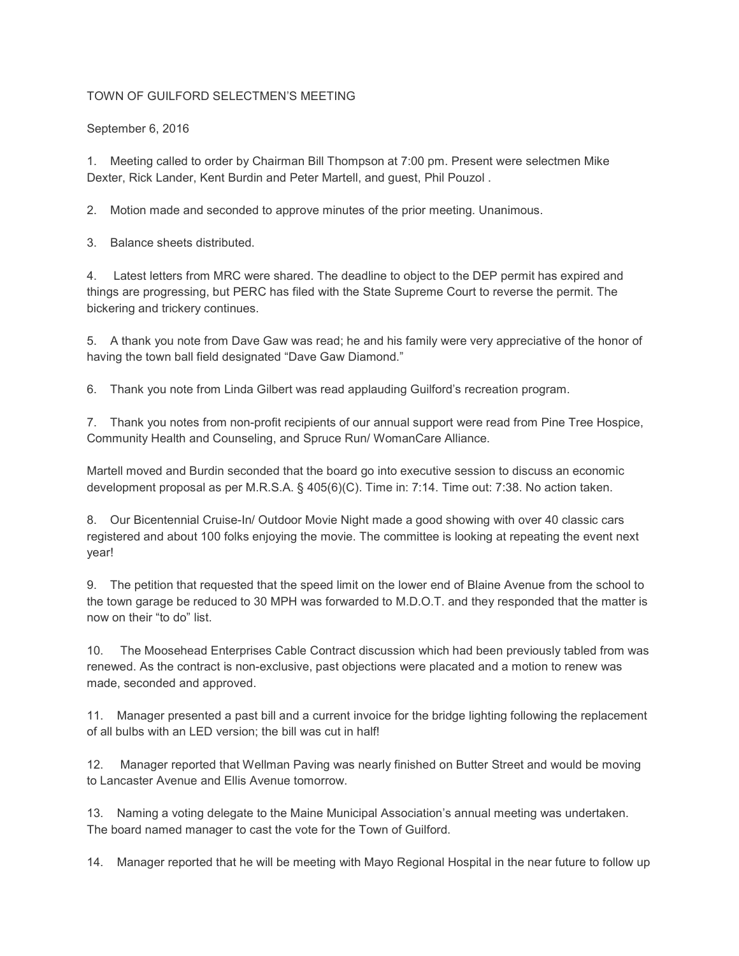## TOWN OF GUILFORD SELECTMEN'S MEETING

September 6, 2016

1. Meeting called to order by Chairman Bill Thompson at 7:00 pm. Present were selectmen Mike Dexter, Rick Lander, Kent Burdin and Peter Martell, and guest, Phil Pouzol .

2. Motion made and seconded to approve minutes of the prior meeting. Unanimous.

3. Balance sheets distributed.

4. Latest letters from MRC were shared. The deadline to object to the DEP permit has expired and things are progressing, but PERC has filed with the State Supreme Court to reverse the permit. The bickering and trickery continues.

5. A thank you note from Dave Gaw was read; he and his family were very appreciative of the honor of having the town ball field designated "Dave Gaw Diamond."

6. Thank you note from Linda Gilbert was read applauding Guilford's recreation program.

7. Thank you notes from non-profit recipients of our annual support were read from Pine Tree Hospice, Community Health and Counseling, and Spruce Run/ WomanCare Alliance.

Martell moved and Burdin seconded that the board go into executive session to discuss an economic development proposal as per M.R.S.A. § 405(6)(C). Time in: 7:14. Time out: 7:38. No action taken.

8. Our Bicentennial Cruise-In/ Outdoor Movie Night made a good showing with over 40 classic cars registered and about 100 folks enjoying the movie. The committee is looking at repeating the event next year!

9. The petition that requested that the speed limit on the lower end of Blaine Avenue from the school to the town garage be reduced to 30 MPH was forwarded to M.D.O.T. and they responded that the matter is now on their "to do" list.

10. The Moosehead Enterprises Cable Contract discussion which had been previously tabled from was renewed. As the contract is non-exclusive, past objections were placated and a motion to renew was made, seconded and approved.

11. Manager presented a past bill and a current invoice for the bridge lighting following the replacement of all bulbs with an LED version; the bill was cut in half!

12. Manager reported that Wellman Paving was nearly finished on Butter Street and would be moving to Lancaster Avenue and Ellis Avenue tomorrow.

13. Naming a voting delegate to the Maine Municipal Association's annual meeting was undertaken. The board named manager to cast the vote for the Town of Guilford.

14. Manager reported that he will be meeting with Mayo Regional Hospital in the near future to follow up